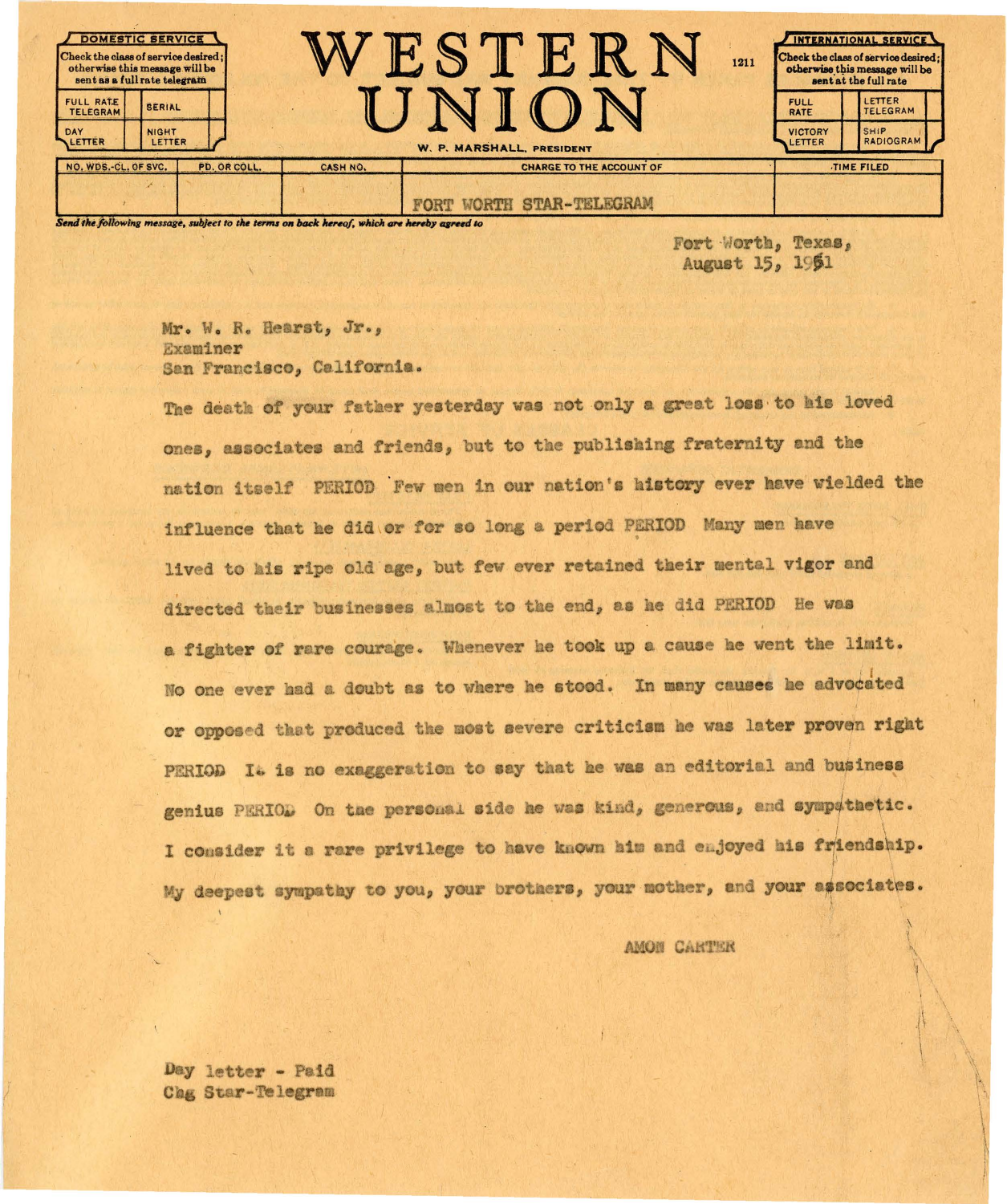| <b>DOMESTIC SERVICE</b><br>Check the class of service desired;<br>otherwise this message will be<br>sent as a full rate telegram |                                         |          | 1211                                                         |  | INTERNATIONAL SERVICE<br>Check the class of service desired:<br>otherwise this message will be<br>sent at the full rate |                                                |
|----------------------------------------------------------------------------------------------------------------------------------|-----------------------------------------|----------|--------------------------------------------------------------|--|-------------------------------------------------------------------------------------------------------------------------|------------------------------------------------|
| FULL RATE<br><b>TELEGRAM</b><br>DAY<br>LETTER                                                                                    | <b>SERIAL</b><br><b>NIGHT</b><br>LETTER |          |                                                              |  | <b>FULL</b><br><b>RATE</b><br><b>VICTORY</b><br>LETTER                                                                  | <b>LETTER</b><br>TELEGRAM<br>SHIP<br>RADIOGRAM |
| NO. WDS.-CL. OF SVC.                                                                                                             | PD. OR COLL.                            | CASH NO. | W. P. MARSHALL, PRESIDENT<br><b>CHARGE TO THE ACCOUNT OF</b> |  | TIME FILED                                                                                                              |                                                |
|                                                                                                                                  |                                         |          | <b>STAR-TELEGRAM</b>                                         |  |                                                                                                                         |                                                |

Send the following message, subject to the terms on back hereof, which are hereby agreed to

Fort Worth, Texas, August 15, 1961

Mr. W. R. Hearst, Jr., Examiner San Francisco, California.

The death of your father yesterday was not only a great loss to his loved ones, associates and friends, but to the publishing fraternity and the nation itself PERIOD Few men in our nation's history ever have wielded the influence that he did or for so long a period PERIOD Many men have lived to his ripe old age, but few ever retained their mental vigor and directed their businesses almost to the end, as he did PERIOD He was a fighter of rare courage. Whenever he took up a cause he went the limit. No one ever had a doubt as to where he stood. In many causes he advocated or opposed that produced the most severe criticism he was later proven right PERIOD It is no exaggeration to say that he was an editorial and business genius PERIOD On the personal side he was kind, generous, and sympathetic. I consider it a rare privilege to have known him and enjoyed his friendship. My deepest sympathy to you, your brothers, your mother, and your associates.

AMON CARTER

Day letter - Paid Chg Star-Telegram